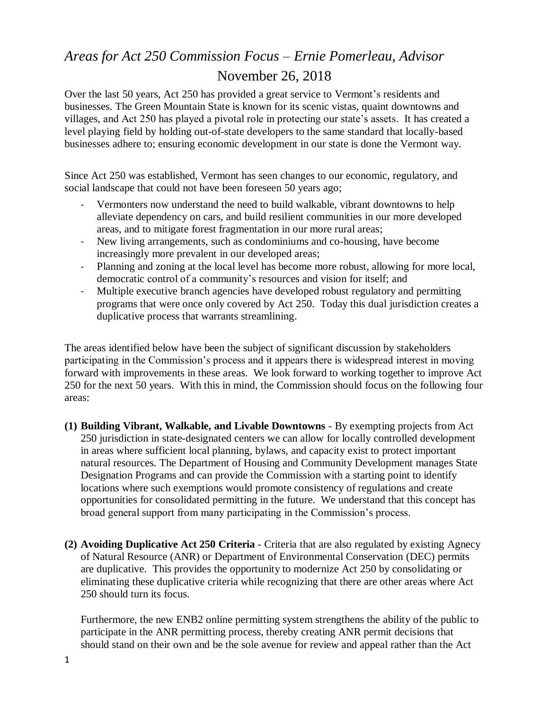## *Areas for Act 250 Commission Focus – Ernie Pomerleau, Advisor* November 26, 2018

Over the last 50 years, Act 250 has provided a great service to Vermont's residents and businesses. The Green Mountain State is known for its scenic vistas, quaint downtowns and villages, and Act 250 has played a pivotal role in protecting our state's assets. It has created a level playing field by holding out-of-state developers to the same standard that locally-based businesses adhere to; ensuring economic development in our state is done the Vermont way.

Since Act 250 was established, Vermont has seen changes to our economic, regulatory, and social landscape that could not have been foreseen 50 years ago;

- Vermonters now understand the need to build walkable, vibrant downtowns to help alleviate dependency on cars, and build resilient communities in our more developed areas, and to mitigate forest fragmentation in our more rural areas;
- New living arrangements, such as condominiums and co-housing, have become increasingly more prevalent in our developed areas;
- Planning and zoning at the local level has become more robust, allowing for more local, democratic control of a community's resources and vision for itself; and
- Multiple executive branch agencies have developed robust regulatory and permitting programs that were once only covered by Act 250. Today this dual jurisdiction creates a duplicative process that warrants streamlining.

The areas identified below have been the subject of significant discussion by stakeholders participating in the Commission's process and it appears there is widespread interest in moving forward with improvements in these areas. We look forward to working together to improve Act 250 for the next 50 years. With this in mind, the Commission should focus on the following four areas:

- **(1) Building Vibrant, Walkable, and Livable Downtowns** By exempting projects from Act 250 jurisdiction in state-designated centers we can allow for locally controlled development in areas where sufficient local planning, bylaws, and capacity exist to protect important natural resources. The Department of Housing and Community Development manages State Designation Programs and can provide the Commission with a starting point to identify locations where such exemptions would promote consistency of regulations and create opportunities for consolidated permitting in the future. We understand that this concept has broad general support from many participating in the Commission's process.
- **(2) Avoiding Duplicative Act 250 Criteria** Criteria that are also regulated by existing Agnecy of Natural Resource (ANR) or Department of Environmental Conservation (DEC) permits are duplicative. This provides the opportunity to modernize Act 250 by consolidating or eliminating these duplicative criteria while recognizing that there are other areas where Act 250 should turn its focus.

Furthermore, the new ENB2 online permitting system strengthens the ability of the public to participate in the ANR permitting process, thereby creating ANR permit decisions that should stand on their own and be the sole avenue for review and appeal rather than the Act